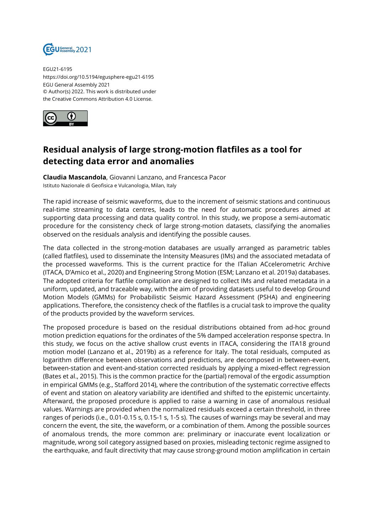

EGU21-6195 https://doi.org/10.5194/egusphere-egu21-6195 EGU General Assembly 2021 © Author(s) 2022. This work is distributed under the Creative Commons Attribution 4.0 License.



## **Residual analysis of large strong-motion flatfiles as a tool for detecting data error and anomalies**

**Claudia Mascandola**, Giovanni Lanzano, and Francesca Pacor Istituto Nazionale di Geofisica e Vulcanologia, Milan, Italy

The rapid increase of seismic waveforms, due to the increment of seismic stations and continuous real-time streaming to data centres, leads to the need for automatic procedures aimed at supporting data processing and data quality control. In this study, we propose a semi-automatic procedure for the consistency check of large strong-motion datasets, classifying the anomalies observed on the residuals analysis and identifying the possible causes.

The data collected in the strong-motion databases are usually arranged as parametric tables (called flatfiles), used to disseminate the Intensity Measures (IMs) and the associated metadata of the processed waveforms. This is the current practice for the ITalian ACcelerometric Archive (ITACA, D'Amico et al., 2020) and Engineering Strong Motion (ESM; Lanzano et al. 2019a) databases. The adopted criteria for flatfile compilation are designed to collect IMs and related metadata in a uniform, updated, and traceable way, with the aim of providing datasets useful to develop Ground Motion Models (GMMs) for Probabilistic Seismic Hazard Assessment (PSHA) and engineering applications. Therefore, the consistency check of the flatfiles is a crucial task to improve the quality of the products provided by the waveform services.

The proposed procedure is based on the residual distributions obtained from ad-hoc ground motion prediction equations for the ordinates of the 5% damped acceleration response spectra. In this study, we focus on the active shallow crust events in ITACA, considering the ITA18 ground motion model (Lanzano et al., 2019b) as a reference for Italy. The total residuals, computed as logarithm difference between observations and predictions, are decomposed in between-event, between-station and event-and-station corrected residuals by applying a mixed-effect regression (Bates et al., 2015). This is the common practice for the (partial) removal of the ergodic assumption in empirical GMMs (e.g., Stafford 2014), where the contribution of the systematic corrective effects of event and station on aleatory variability are identified and shifted to the epistemic uncertainty. Afterward, the proposed procedure is applied to raise a warning in case of anomalous residual values. Warnings are provided when the normalized residuals exceed a certain threshold, in three ranges of periods (i.e., 0.01-0.15 s, 0.15-1 s, 1-5 s). The causes of warnings may be several and may concern the event, the site, the waveform, or a combination of them. Among the possible sources of anomalous trends, the more common are: preliminary or inaccurate event localization or magnitude, wrong soil category assigned based on proxies, misleading tectonic regime assigned to the earthquake, and fault directivity that may cause strong-ground motion amplification in certain